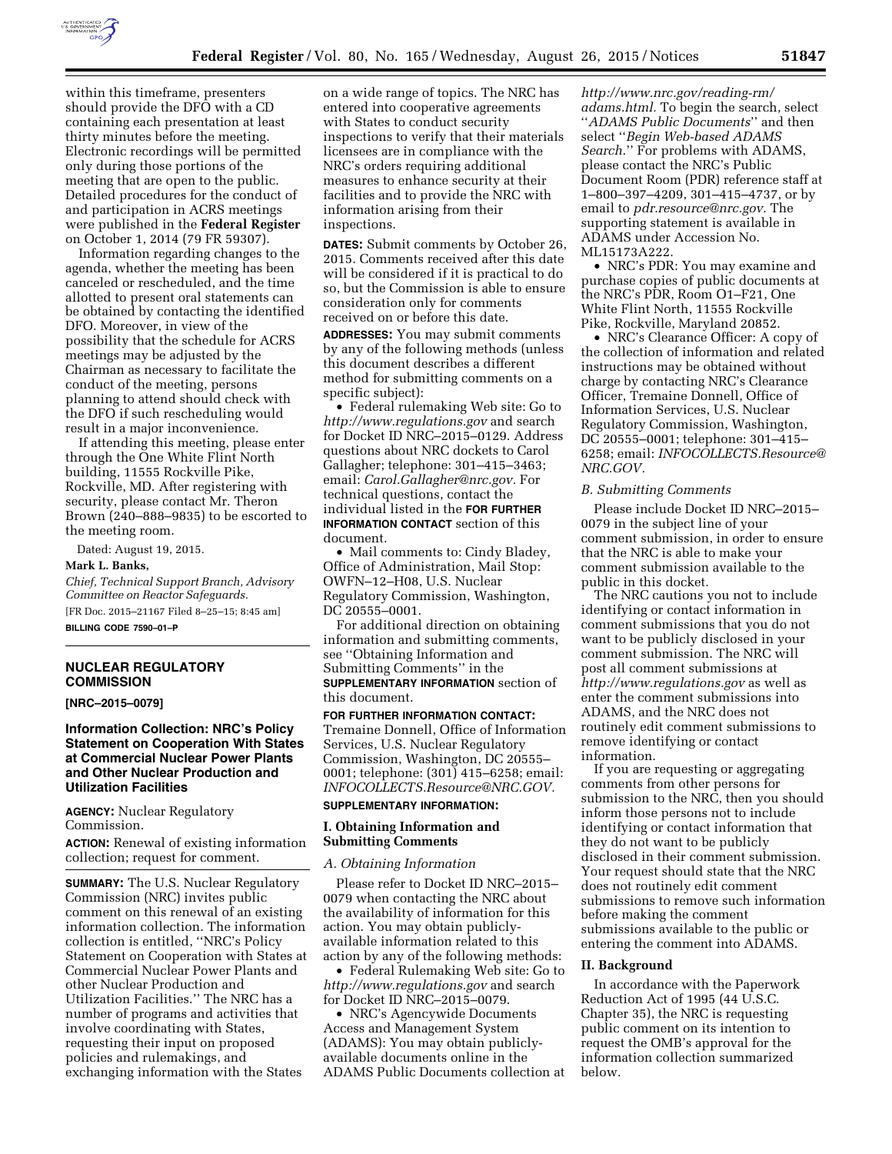

within this timeframe, presenters should provide the DFO with a CD containing each presentation at least thirty minutes before the meeting. Electronic recordings will be permitted only during those portions of the meeting that are open to the public. Detailed procedures for the conduct of and participation in ACRS meetings were published in the **Federal Register**  on October 1, 2014 (79 FR 59307).

Information regarding changes to the agenda, whether the meeting has been canceled or rescheduled, and the time allotted to present oral statements can be obtained by contacting the identified DFO. Moreover, in view of the possibility that the schedule for ACRS meetings may be adjusted by the Chairman as necessary to facilitate the conduct of the meeting, persons planning to attend should check with the DFO if such rescheduling would result in a major inconvenience.

If attending this meeting, please enter through the One White Flint North building, 11555 Rockville Pike, Rockville, MD. After registering with security, please contact Mr. Theron Brown (240–888–9835) to be escorted to the meeting room.

Dated: August 19, 2015.

#### **Mark L. Banks,**

*Chief, Technical Support Branch, Advisory Committee on Reactor Safeguards.*  [FR Doc. 2015–21167 Filed 8–25–15; 8:45 am] **BILLING CODE 7590–01–P** 

## **NUCLEAR REGULATORY COMMISSION**

### **[NRC–2015–0079]**

**Information Collection: NRC's Policy Statement on Cooperation With States at Commercial Nuclear Power Plants and Other Nuclear Production and Utilization Facilities** 

**AGENCY:** Nuclear Regulatory Commission.

**ACTION:** Renewal of existing information collection; request for comment.

**SUMMARY:** The U.S. Nuclear Regulatory Commission (NRC) invites public comment on this renewal of an existing information collection. The information collection is entitled, ''NRC's Policy Statement on Cooperation with States at Commercial Nuclear Power Plants and other Nuclear Production and Utilization Facilities.'' The NRC has a number of programs and activities that involve coordinating with States, requesting their input on proposed policies and rulemakings, and exchanging information with the States

on a wide range of topics. The NRC has entered into cooperative agreements with States to conduct security inspections to verify that their materials licensees are in compliance with the NRC's orders requiring additional measures to enhance security at their facilities and to provide the NRC with information arising from their inspections.

**DATES:** Submit comments by October 26, 2015. Comments received after this date will be considered if it is practical to do so, but the Commission is able to ensure consideration only for comments received on or before this date.

**ADDRESSES:** You may submit comments by any of the following methods (unless this document describes a different method for submitting comments on a specific subject):

• Federal rulemaking Web site: Go to *<http://www.regulations.gov>* and search for Docket ID NRC–2015–0129. Address questions about NRC dockets to Carol Gallagher; telephone: 301–415–3463; email: *[Carol.Gallagher@nrc.gov.](mailto:Carol.Gallagher@nrc.gov)* For technical questions, contact the individual listed in the **FOR FURTHER INFORMATION CONTACT** section of this document.

• Mail comments to: Cindy Bladey, Office of Administration, Mail Stop: OWFN–12–H08, U.S. Nuclear Regulatory Commission, Washington, DC 20555–0001.

For additional direction on obtaining information and submitting comments, see ''Obtaining Information and Submitting Comments'' in the **SUPPLEMENTARY INFORMATION** section of this document.

### **FOR FURTHER INFORMATION CONTACT:**

Tremaine Donnell, Office of Information Services, U.S. Nuclear Regulatory Commission, Washington, DC 20555– 0001; telephone: (301) 415–6258; email: *[INFOCOLLECTS.Resource@NRC.GOV.](mailto:INFOCOLLECTS.Resource@NRC.GOV)* 

# **SUPPLEMENTARY INFORMATION:**

## **I. Obtaining Information and Submitting Comments**

*A. Obtaining Information* 

Please refer to Docket ID NRC–2015– 0079 when contacting the NRC about the availability of information for this action. You may obtain publiclyavailable information related to this action by any of the following methods:

• Federal Rulemaking Web site: Go to *<http://www.regulations.gov>* and search for Docket ID NRC–2015–0079.

• NRC's Agencywide Documents Access and Management System (ADAMS): You may obtain publiclyavailable documents online in the ADAMS Public Documents collection at

*[http://www.nrc.gov/reading-rm/](http://www.nrc.gov/reading-rm/adams.html) [adams.html.](http://www.nrc.gov/reading-rm/adams.html)* To begin the search, select ''*ADAMS Public Documents*'' and then select ''*Begin Web-based ADAMS Search*.'' For problems with ADAMS, please contact the NRC's Public Document Room (PDR) reference staff at 1–800–397–4209, 301–415–4737, or by email to *[pdr.resource@nrc.gov.](mailto:pdr.resource@nrc.gov)* The supporting statement is available in ADAMS under Accession No. ML15173A222.

• NRC's PDR: You may examine and purchase copies of public documents at the NRC's PDR, Room O1–F21, One White Flint North, 11555 Rockville Pike, Rockville, Maryland 20852.

• NRC's Clearance Officer: A copy of the collection of information and related instructions may be obtained without charge by contacting NRC's Clearance Officer, Tremaine Donnell, Office of Information Services, U.S. Nuclear Regulatory Commission, Washington, DC 20555–0001; telephone: 301–415– 6258; email: *[INFOCOLLECTS.Resource@](mailto:INFOCOLLECTS.Resource@NRC.GOV) [NRC.GOV.](mailto:INFOCOLLECTS.Resource@NRC.GOV)* 

### *B. Submitting Comments*

Please include Docket ID NRC–2015– 0079 in the subject line of your comment submission, in order to ensure that the NRC is able to make your comment submission available to the public in this docket.

The NRC cautions you not to include identifying or contact information in comment submissions that you do not want to be publicly disclosed in your comment submission. The NRC will post all comment submissions at *<http://www.regulations.gov>* as well as enter the comment submissions into ADAMS, and the NRC does not routinely edit comment submissions to remove identifying or contact information.

If you are requesting or aggregating comments from other persons for submission to the NRC, then you should inform those persons not to include identifying or contact information that they do not want to be publicly disclosed in their comment submission. Your request should state that the NRC does not routinely edit comment submissions to remove such information before making the comment submissions available to the public or entering the comment into ADAMS.

#### **II. Background**

In accordance with the Paperwork Reduction Act of 1995 (44 U.S.C. Chapter 35), the NRC is requesting public comment on its intention to request the OMB's approval for the information collection summarized below.